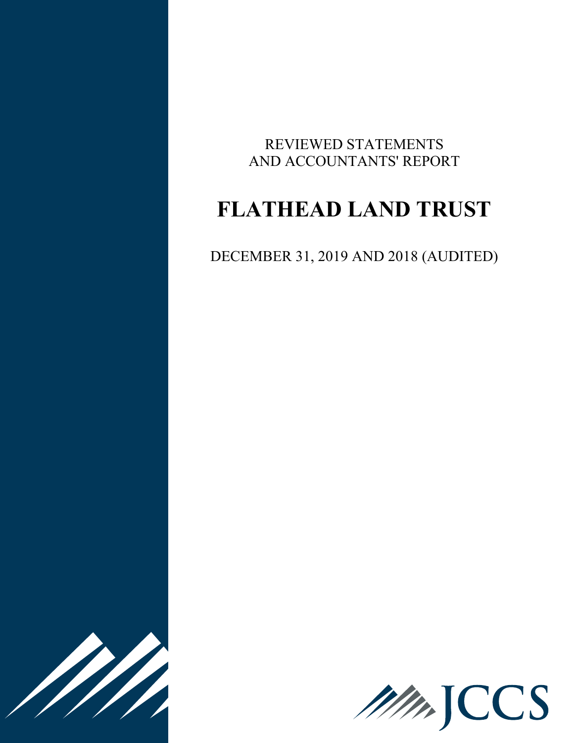# REVIEWED STATEMENTS AND ACCOUNTANTS' REPORT

# **FLATHEAD LAND TRUST**

DECEMBER 31, 2019 AND 2018 (AUDITED)

H.

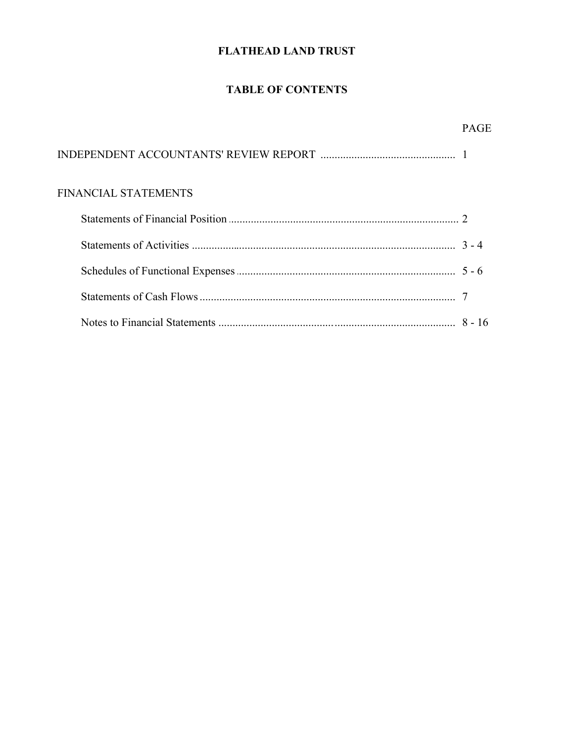# **FLATHEAD LAND TRUST**

# **TABLE OF CONTENTS**

|                             | PAGF |
|-----------------------------|------|
|                             |      |
| <b>FINANCIAL STATEMENTS</b> |      |
|                             |      |
|                             |      |
|                             |      |
|                             |      |
|                             |      |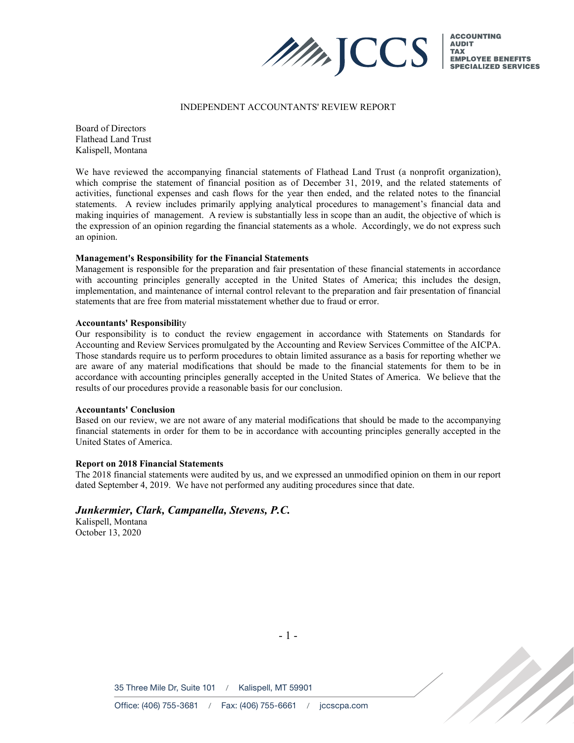Mn CCS

**ACCOUNTING AUDIT TAX EMPLOYEE BENEFITS SPECIALIZED SERVICES** 

#### INDEPENDENT ACCOUNTANTS' REVIEW REPORT

Board of Directors Flathead Land Trust Kalispell, Montana

We have reviewed the accompanying financial statements of Flathead Land Trust (a nonprofit organization), which comprise the statement of financial position as of December 31, 2019, and the related statements of activities, functional expenses and cash flows for the year then ended, and the related notes to the financial statements. A review includes primarily applying analytical procedures to management's financial data and making inquiries of management. A review is substantially less in scope than an audit, the objective of which is the expression of an opinion regarding the financial statements as a whole. Accordingly, we do not express such an opinion.

#### **Management's Responsibility for the Financial Statements**

Management is responsible for the preparation and fair presentation of these financial statements in accordance with accounting principles generally accepted in the United States of America; this includes the design, implementation, and maintenance of internal control relevant to the preparation and fair presentation of financial statements that are free from material misstatement whether due to fraud or error.

#### **Accountants' Responsibili**ty

Our responsibility is to conduct the review engagement in accordance with Statements on Standards for Accounting and Review Services promulgated by the Accounting and Review Services Committee of the AICPA. Those standards require us to perform procedures to obtain limited assurance as a basis for reporting whether we are aware of any material modifications that should be made to the financial statements for them to be in accordance with accounting principles generally accepted in the United States of America. We believe that the results of our procedures provide a reasonable basis for our conclusion.

#### **Accountants' Conclusion**

Based on our review, we are not aware of any material modifications that should be made to the accompanying financial statements in order for them to be in accordance with accounting principles generally accepted in the United States of America.

#### **Report on 2018 Financial Statements**

The 2018 financial statements were audited by us, and we expressed an unmodified opinion on them in our report dated September 4, 2019. We have not performed any auditing procedures since that date.

- 1 -

#### *Junkermier, Clark, Campanella, Stevens, P.C.*

Kalispell, Montana October 13, 2020

35 Three Mile Dr, Suite 101 / Kalispell, MT 59901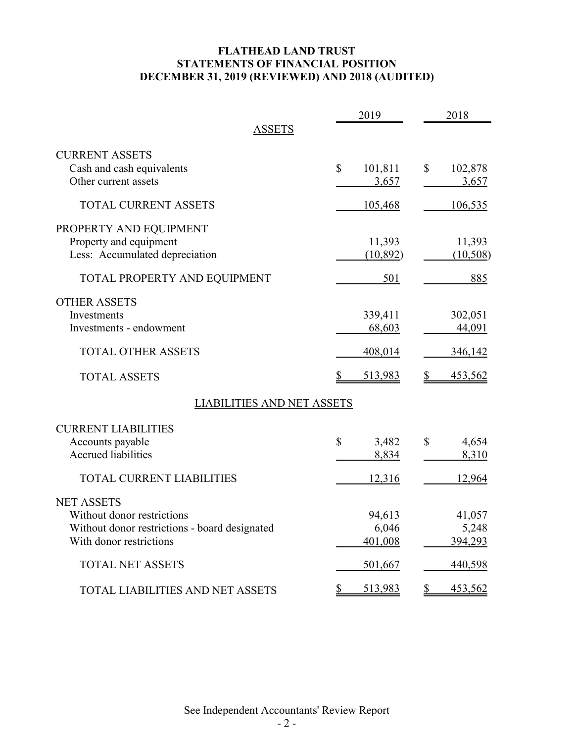# **FLATHEAD LAND TRUST STATEMENTS OF FINANCIAL POSITION DECEMBER 31, 2019 (REVIEWED) AND 2018 (AUDITED)**

|                                                                                                                             | 2019                             | 2018                       |
|-----------------------------------------------------------------------------------------------------------------------------|----------------------------------|----------------------------|
| <b>ASSETS</b>                                                                                                               |                                  |                            |
| <b>CURRENT ASSETS</b><br>Cash and cash equivalents<br>Other current assets                                                  | $\mathbb{S}$<br>101,811<br>3,657 | \$<br>102,878<br>3,657     |
| <b>TOTAL CURRENT ASSETS</b>                                                                                                 | 105,468                          | 106,535                    |
| PROPERTY AND EQUIPMENT<br>Property and equipment<br>Less: Accumulated depreciation                                          | 11,393<br>(10,892)               | 11,393<br>(10,508)         |
| TOTAL PROPERTY AND EQUIPMENT                                                                                                | 501                              | 885                        |
| <b>OTHER ASSETS</b><br>Investments<br>Investments - endowment                                                               | 339,411<br>68,603                | 302,051<br>44,091          |
| <b>TOTAL OTHER ASSETS</b>                                                                                                   | 408,014                          | 346,142                    |
| <b>TOTAL ASSETS</b>                                                                                                         | 513,983                          | 453,562                    |
| <b>LIABILITIES AND NET ASSETS</b>                                                                                           |                                  |                            |
| <b>CURRENT LIABILITIES</b><br>Accounts payable<br><b>Accrued liabilities</b>                                                | $\mathbb{S}$<br>3,482<br>8,834   | \$<br>4,654<br>8,310       |
| TOTAL CURRENT LIABILITIES                                                                                                   | 12,316                           | 12,964                     |
| <b>NET ASSETS</b><br>Without donor restrictions<br>Without donor restrictions - board designated<br>With donor restrictions | 94,613<br>6,046<br>401,008       | 41,057<br>5,248<br>394,293 |
| <b>TOTAL NET ASSETS</b>                                                                                                     | 501,667                          | 440,598                    |
| TOTAL LIABILITIES AND NET ASSETS                                                                                            | 513,983<br>\$                    | <u>\$</u><br>453,562       |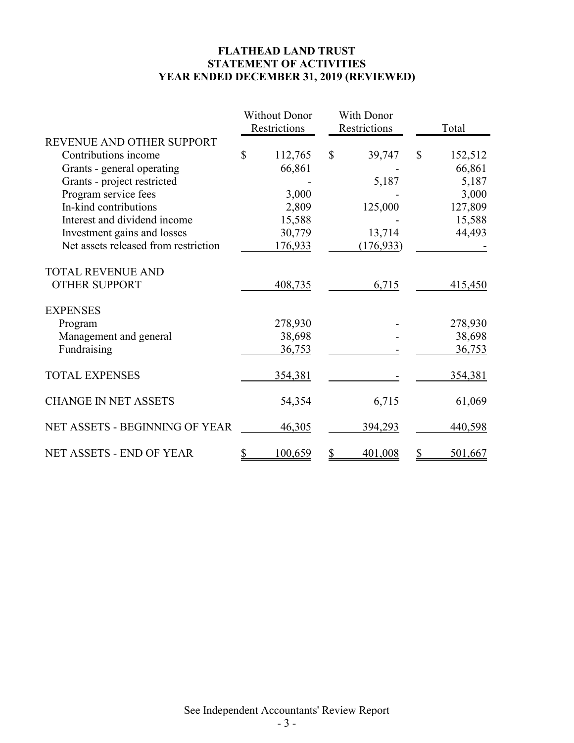# **FLATHEAD LAND TRUST STATEMENT OF ACTIVITIES YEAR ENDED DECEMBER 31, 2019 (REVIEWED)**

|                                      |              | <b>Without Donor</b><br>Restrictions |              | With Donor<br>Restrictions |              | Total   |
|--------------------------------------|--------------|--------------------------------------|--------------|----------------------------|--------------|---------|
| REVENUE AND OTHER SUPPORT            |              |                                      |              |                            |              |         |
| Contributions income                 | $\mathbb{S}$ | 112,765                              | $\mathbb{S}$ | 39,747                     | $\mathbb{S}$ | 152,512 |
| Grants - general operating           |              | 66,861                               |              |                            |              | 66,861  |
| Grants - project restricted          |              |                                      |              | 5,187                      |              | 5,187   |
| Program service fees                 |              | 3,000                                |              |                            |              | 3,000   |
| In-kind contributions                |              | 2,809                                |              | 125,000                    |              | 127,809 |
| Interest and dividend income         |              | 15,588                               |              |                            |              | 15,588  |
| Investment gains and losses          |              | 30,779                               |              | 13,714                     |              | 44,493  |
| Net assets released from restriction |              | 176,933                              |              | (176, 933)                 |              |         |
| <b>TOTAL REVENUE AND</b>             |              |                                      |              |                            |              |         |
| <b>OTHER SUPPORT</b>                 |              | 408,735                              |              | 6,715                      |              | 415,450 |
| <b>EXPENSES</b>                      |              |                                      |              |                            |              |         |
| Program                              |              | 278,930                              |              |                            |              | 278,930 |
| Management and general               |              | 38,698                               |              |                            |              | 38,698  |
| Fundraising                          |              | 36,753                               |              |                            |              | 36,753  |
| <b>TOTAL EXPENSES</b>                |              | 354,381                              |              |                            |              | 354,381 |
| <b>CHANGE IN NET ASSETS</b>          |              | 54,354                               |              | 6,715                      |              | 61,069  |
| NET ASSETS - BEGINNING OF YEAR       |              | 46,305                               |              | 394,293                    |              | 440,598 |
| <b>NET ASSETS - END OF YEAR</b>      |              | 100,659                              |              | 401,008                    | \$           | 501,667 |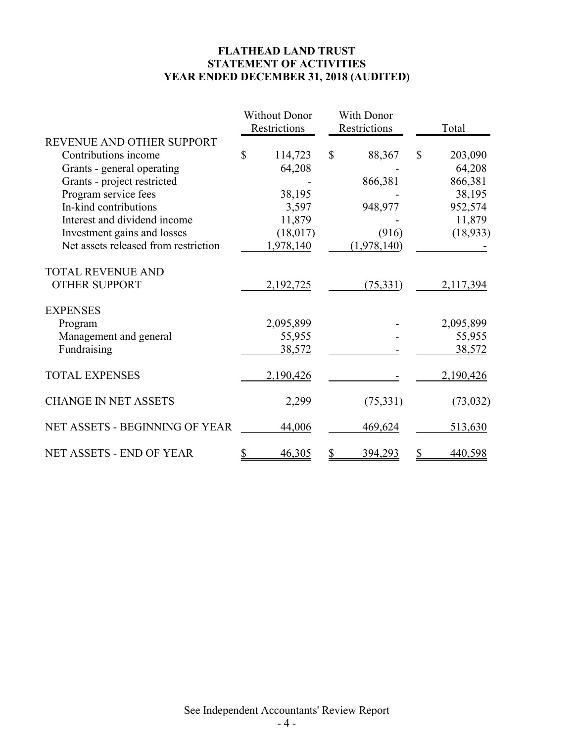# **FLATHEAD LAND TRUST STATEMENT OF ACTIVITIES YEAR ENDED DECEMBER 31, 2018 (AUDITED)**

|                                      |              | <b>Without Donor</b><br>Restrictions |                           | With Donor<br>Restrictions |              | Total     |
|--------------------------------------|--------------|--------------------------------------|---------------------------|----------------------------|--------------|-----------|
| REVENUE AND OTHER SUPPORT            |              |                                      |                           |                            |              |           |
| Contributions income                 | $\mathbb{S}$ | 114,723                              | $\boldsymbol{\mathsf{S}}$ | 88,367                     | $\mathbb{S}$ | 203,090   |
| Grants - general operating           |              | 64,208                               |                           |                            |              | 64,208    |
| Grants - project restricted          |              |                                      |                           | 866,381                    |              | 866,381   |
| Program service fees                 |              | 38,195                               |                           |                            |              | 38,195    |
| In-kind contributions                |              | 3,597                                |                           | 948,977                    |              | 952,574   |
| Interest and dividend income         |              | 11,879                               |                           |                            |              | 11,879    |
| Investment gains and losses          |              | (18,017)                             |                           | (916)                      |              | (18, 933) |
| Net assets released from restriction |              | 1,978,140                            |                           | (1,978,140)                |              |           |
| <b>TOTAL REVENUE AND</b>             |              |                                      |                           |                            |              |           |
| <b>OTHER SUPPORT</b>                 |              | 2,192,725                            |                           | (75,331)                   |              | 2,117,394 |
| <b>EXPENSES</b>                      |              |                                      |                           |                            |              |           |
| Program                              |              | 2,095,899                            |                           |                            |              | 2,095,899 |
| Management and general               |              | 55,955                               |                           |                            |              | 55,955    |
| Fundraising                          |              | 38,572                               |                           |                            |              | 38,572    |
| <b>TOTAL EXPENSES</b>                |              | 2,190,426                            |                           |                            |              | 2,190,426 |
| <b>CHANGE IN NET ASSETS</b>          |              | 2,299                                |                           | (75, 331)                  |              | (73, 032) |
| NET ASSETS - BEGINNING OF YEAR       |              | 44,006                               |                           | 469,624                    |              | 513,630   |
| NET ASSETS - END OF YEAR             |              | 46,305                               | \$                        | 394,293                    |              | 440,598   |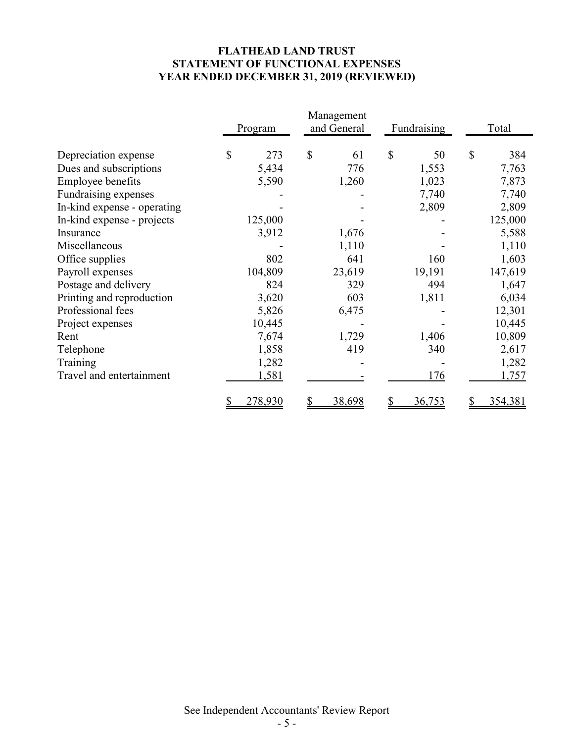### **FLATHEAD LAND TRUST STATEMENT OF FUNCTIONAL EXPENSES YEAR ENDED DECEMBER 31, 2019 (REVIEWED)**

|                             | Program   |              | Management<br>and General |    | Fundraising |              | Total   |  |
|-----------------------------|-----------|--------------|---------------------------|----|-------------|--------------|---------|--|
| Depreciation expense        | \$<br>273 | $\mathbb{S}$ | 61                        | \$ | 50          | $\mathbb{S}$ | 384     |  |
| Dues and subscriptions      | 5,434     |              | 776                       |    | 1,553       |              | 7,763   |  |
| <b>Employee benefits</b>    | 5,590     |              | 1,260                     |    | 1,023       |              | 7,873   |  |
| Fundraising expenses        |           |              |                           |    | 7,740       |              | 7,740   |  |
| In-kind expense - operating |           |              |                           |    | 2,809       |              | 2,809   |  |
| In-kind expense - projects  | 125,000   |              |                           |    |             |              | 125,000 |  |
| Insurance                   | 3,912     |              | 1,676                     |    |             |              | 5,588   |  |
| Miscellaneous               |           |              | 1,110                     |    |             |              | 1,110   |  |
| Office supplies             | 802       |              | 641                       |    | 160         |              | 1,603   |  |
| Payroll expenses            | 104,809   |              | 23,619                    |    | 19,191      |              | 147,619 |  |
| Postage and delivery        | 824       |              | 329                       |    | 494         |              | 1,647   |  |
| Printing and reproduction   | 3,620     |              | 603                       |    | 1,811       |              | 6,034   |  |
| Professional fees           | 5,826     |              | 6,475                     |    |             |              | 12,301  |  |
| Project expenses            | 10,445    |              |                           |    |             |              | 10,445  |  |
| Rent                        | 7,674     |              | 1,729                     |    | 1,406       |              | 10,809  |  |
| Telephone                   | 1,858     |              | 419                       |    | 340         |              | 2,617   |  |
| Training                    | 1,282     |              |                           |    |             |              | 1,282   |  |
| Travel and entertainment    | 1,581     |              |                           |    | 176         |              | 1,757   |  |
|                             | 278,930   |              | 38,698                    |    | 36,753      |              | 354,381 |  |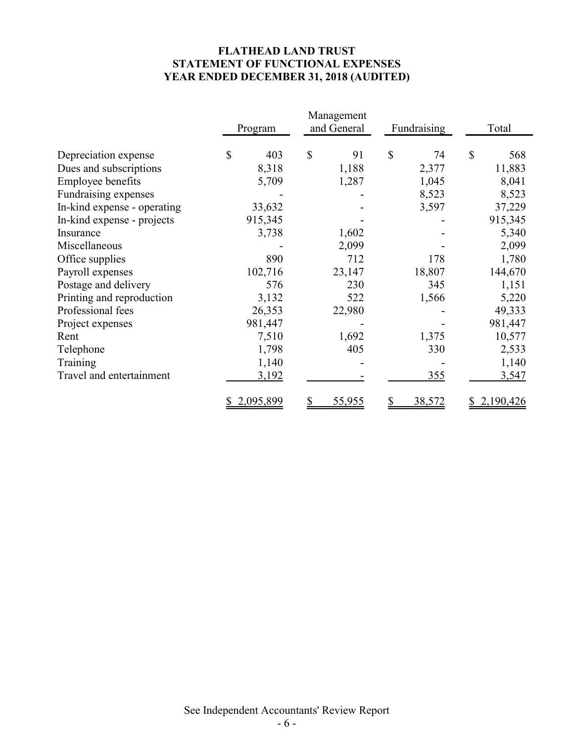### **FLATHEAD LAND TRUST STATEMENT OF FUNCTIONAL EXPENSES YEAR ENDED DECEMBER 31, 2018 (AUDITED)**

|                             | Program   |    | Management<br>and General |    | Fundraising |              | Total     |  |
|-----------------------------|-----------|----|---------------------------|----|-------------|--------------|-----------|--|
| Depreciation expense        | \$<br>403 | \$ | 91                        | \$ | 74          | $\mathbb{S}$ | 568       |  |
| Dues and subscriptions      | 8,318     |    | 1,188                     |    | 2,377       |              | 11,883    |  |
| <b>Employee benefits</b>    | 5,709     |    | 1,287                     |    | 1,045       |              | 8,041     |  |
| Fundraising expenses        |           |    |                           |    | 8,523       |              | 8,523     |  |
| In-kind expense - operating | 33,632    |    |                           |    | 3,597       |              | 37,229    |  |
| In-kind expense - projects  | 915,345   |    |                           |    |             |              | 915,345   |  |
| Insurance                   | 3,738     |    | 1,602                     |    |             |              | 5,340     |  |
| Miscellaneous               |           |    | 2,099                     |    |             |              | 2,099     |  |
| Office supplies             | 890       |    | 712                       |    | 178         |              | 1,780     |  |
| Payroll expenses            | 102,716   |    | 23,147                    |    | 18,807      |              | 144,670   |  |
| Postage and delivery        | 576       |    | 230                       |    | 345         |              | 1,151     |  |
| Printing and reproduction   | 3,132     |    | 522                       |    | 1,566       |              | 5,220     |  |
| Professional fees           | 26,353    |    | 22,980                    |    |             |              | 49,333    |  |
| Project expenses            | 981,447   |    |                           |    |             |              | 981,447   |  |
| Rent                        | 7,510     |    | 1,692                     |    | 1,375       |              | 10,577    |  |
| Telephone                   | 1,798     |    | 405                       |    | 330         |              | 2,533     |  |
| Training                    | 1,140     |    |                           |    |             |              | 1,140     |  |
| Travel and entertainment    | 3,192     |    |                           |    | 355         |              | 3,547     |  |
|                             | 2,095,899 |    | <u>55,955</u>             |    | 38,572      |              | 2,190,426 |  |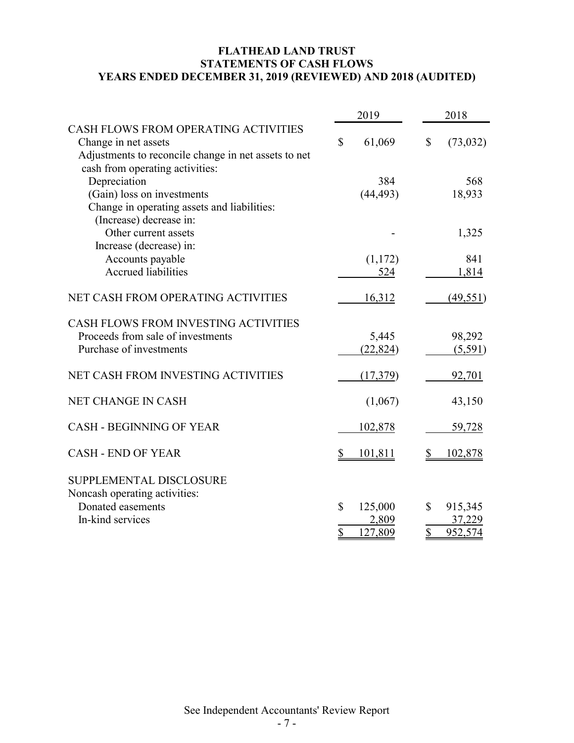#### **FLATHEAD LAND TRUST STATEMENTS OF CASH FLOWS YEARS ENDED DECEMBER 31, 2019 (REVIEWED) AND 2018 (AUDITED)**

|                                                      |              | 2019      |               | 2018           |  |
|------------------------------------------------------|--------------|-----------|---------------|----------------|--|
| CASH FLOWS FROM OPERATING ACTIVITIES                 |              |           |               |                |  |
| Change in net assets                                 | \$           | 61,069    | $\mathbb{S}$  | (73, 032)      |  |
| Adjustments to reconcile change in net assets to net |              |           |               |                |  |
| cash from operating activities:                      |              |           |               |                |  |
| Depreciation                                         |              | 384       |               | 568            |  |
| (Gain) loss on investments                           |              | (44, 493) |               | 18,933         |  |
| Change in operating assets and liabilities:          |              |           |               |                |  |
| (Increase) decrease in:                              |              |           |               |                |  |
| Other current assets                                 |              |           |               | 1,325          |  |
| Increase (decrease) in:                              |              |           |               |                |  |
| Accounts payable                                     |              | (1,172)   |               | 841            |  |
| <b>Accrued liabilities</b>                           |              | 524       |               | 1,814          |  |
| NET CASH FROM OPERATING ACTIVITIES                   |              | 16,312    |               | (49, 551)      |  |
| CASH FLOWS FROM INVESTING ACTIVITIES                 |              |           |               |                |  |
| Proceeds from sale of investments                    |              | 5,445     |               | 98,292         |  |
| Purchase of investments                              |              | (22, 824) |               | (5,591)        |  |
|                                                      |              |           |               |                |  |
| <b>NET CASH FROM INVESTING ACTIVITIES</b>            |              | (17,379)  |               | 92,701         |  |
|                                                      |              |           |               |                |  |
| <b>NET CHANGE IN CASH</b>                            |              | (1,067)   |               | 43,150         |  |
| <b>CASH - BEGINNING OF YEAR</b>                      |              | 102,878   |               | 59,728         |  |
| <b>CASH - END OF YEAR</b>                            | \$           | 101,811   | \$            | <u>102,878</u> |  |
| SUPPLEMENTAL DISCLOSURE                              |              |           |               |                |  |
| Noncash operating activities:                        |              |           |               |                |  |
| Donated easements                                    | $\mathbb{S}$ | 125,000   | \$            | 915,345        |  |
| In-kind services                                     |              | 2,809     |               | 37,229         |  |
|                                                      | \$           | 127,809   | $\frac{1}{2}$ | 952,574        |  |
|                                                      |              |           |               |                |  |

See Independent Accountants' Review Report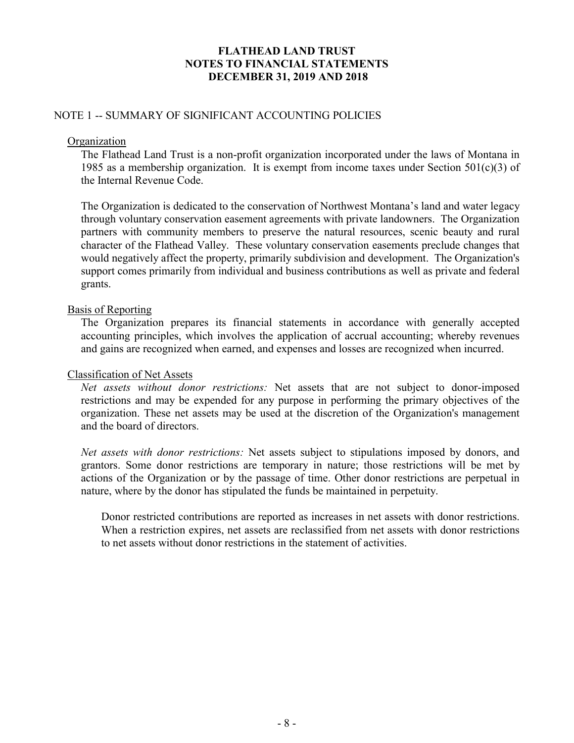#### NOTE 1 -- SUMMARY OF SIGNIFICANT ACCOUNTING POLICIES

#### Organization

The Flathead Land Trust is a non-profit organization incorporated under the laws of Montana in 1985 as a membership organization. It is exempt from income taxes under Section 501(c)(3) of the Internal Revenue Code.

The Organization is dedicated to the conservation of Northwest Montana's land and water legacy through voluntary conservation easement agreements with private landowners. The Organization partners with community members to preserve the natural resources, scenic beauty and rural character of the Flathead Valley. These voluntary conservation easements preclude changes that would negatively affect the property, primarily subdivision and development. The Organization's support comes primarily from individual and business contributions as well as private and federal grants.

#### Basis of Reporting

The Organization prepares its financial statements in accordance with generally accepted accounting principles, which involves the application of accrual accounting; whereby revenues and gains are recognized when earned, and expenses and losses are recognized when incurred.

#### Classification of Net Assets

*Net assets without donor restrictions:* Net assets that are not subject to donor-imposed restrictions and may be expended for any purpose in performing the primary objectives of the organization. These net assets may be used at the discretion of the Organization's management and the board of directors.

*Net assets with donor restrictions:* Net assets subject to stipulations imposed by donors, and grantors. Some donor restrictions are temporary in nature; those restrictions will be met by actions of the Organization or by the passage of time. Other donor restrictions are perpetual in nature, where by the donor has stipulated the funds be maintained in perpetuity.

Donor restricted contributions are reported as increases in net assets with donor restrictions. When a restriction expires, net assets are reclassified from net assets with donor restrictions to net assets without donor restrictions in the statement of activities.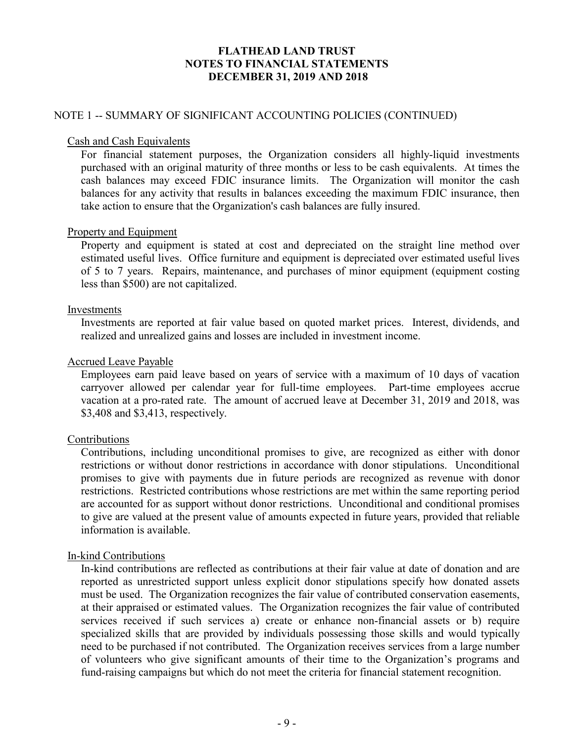#### NOTE 1 -- SUMMARY OF SIGNIFICANT ACCOUNTING POLICIES (CONTINUED)

#### Cash and Cash Equivalents

For financial statement purposes, the Organization considers all highly-liquid investments purchased with an original maturity of three months or less to be cash equivalents. At times the cash balances may exceed FDIC insurance limits. The Organization will monitor the cash balances for any activity that results in balances exceeding the maximum FDIC insurance, then take action to ensure that the Organization's cash balances are fully insured.

#### Property and Equipment

Property and equipment is stated at cost and depreciated on the straight line method over estimated useful lives. Office furniture and equipment is depreciated over estimated useful lives of 5 to 7 years. Repairs, maintenance, and purchases of minor equipment (equipment costing less than \$500) are not capitalized.

#### Investments

Investments are reported at fair value based on quoted market prices. Interest, dividends, and realized and unrealized gains and losses are included in investment income.

#### Accrued Leave Payable

Employees earn paid leave based on years of service with a maximum of 10 days of vacation carryover allowed per calendar year for full-time employees. Part-time employees accrue vacation at a pro-rated rate. The amount of accrued leave at December 31, 2019 and 2018, was \$3,408 and \$3,413, respectively.

#### Contributions

Contributions, including unconditional promises to give, are recognized as either with donor restrictions or without donor restrictions in accordance with donor stipulations. Unconditional promises to give with payments due in future periods are recognized as revenue with donor restrictions. Restricted contributions whose restrictions are met within the same reporting period are accounted for as support without donor restrictions. Unconditional and conditional promises to give are valued at the present value of amounts expected in future years, provided that reliable information is available.

#### In-kind Contributions

In-kind contributions are reflected as contributions at their fair value at date of donation and are reported as unrestricted support unless explicit donor stipulations specify how donated assets must be used. The Organization recognizes the fair value of contributed conservation easements, at their appraised or estimated values. The Organization recognizes the fair value of contributed services received if such services a) create or enhance non-financial assets or b) require specialized skills that are provided by individuals possessing those skills and would typically need to be purchased if not contributed. The Organization receives services from a large number of volunteers who give significant amounts of their time to the Organization's programs and fund-raising campaigns but which do not meet the criteria for financial statement recognition.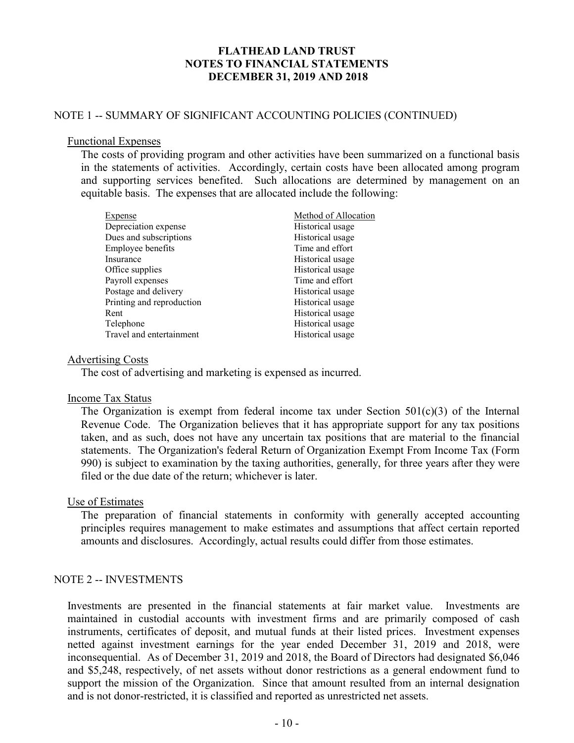#### NOTE 1 -- SUMMARY OF SIGNIFICANT ACCOUNTING POLICIES (CONTINUED)

#### Functional Expenses

The costs of providing program and other activities have been summarized on a functional basis in the statements of activities. Accordingly, certain costs have been allocated among program and supporting services benefited. Such allocations are determined by management on an equitable basis. The expenses that are allocated include the following:

| Expense                   | Method of Allocation |
|---------------------------|----------------------|
| Depreciation expense      | Historical usage     |
| Dues and subscriptions    | Historical usage     |
| Employee benefits         | Time and effort      |
| Insurance                 | Historical usage     |
| Office supplies           | Historical usage     |
| Payroll expenses          | Time and effort      |
| Postage and delivery      | Historical usage     |
| Printing and reproduction | Historical usage     |
| Rent                      | Historical usage     |
| Telephone                 | Historical usage     |
| Travel and entertainment  | Historical usage     |

#### Advertising Costs

The cost of advertising and marketing is expensed as incurred.

#### Income Tax Status

The Organization is exempt from federal income tax under Section  $501(c)(3)$  of the Internal Revenue Code. The Organization believes that it has appropriate support for any tax positions taken, and as such, does not have any uncertain tax positions that are material to the financial statements. The Organization's federal Return of Organization Exempt From Income Tax (Form 990) is subject to examination by the taxing authorities, generally, for three years after they were filed or the due date of the return; whichever is later.

#### Use of Estimates

The preparation of financial statements in conformity with generally accepted accounting principles requires management to make estimates and assumptions that affect certain reported amounts and disclosures. Accordingly, actual results could differ from those estimates.

#### NOTE 2 -- INVESTMENTS

Investments are presented in the financial statements at fair market value. Investments are maintained in custodial accounts with investment firms and are primarily composed of cash instruments, certificates of deposit, and mutual funds at their listed prices. Investment expenses netted against investment earnings for the year ended December 31, 2019 and 2018, were inconsequential. As of December 31, 2019 and 2018, the Board of Directors had designated \$6,046 and \$5,248, respectively, of net assets without donor restrictions as a general endowment fund to support the mission of the Organization. Since that amount resulted from an internal designation and is not donor-restricted, it is classified and reported as unrestricted net assets.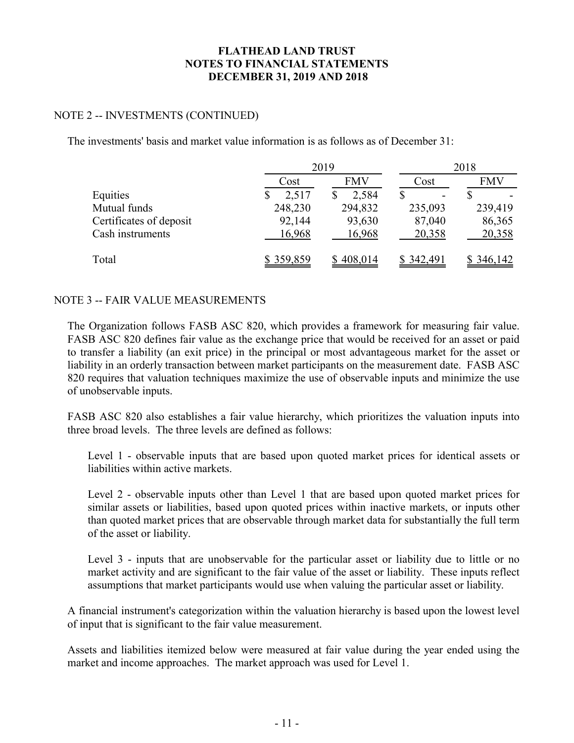#### NOTE 2 -- INVESTMENTS (CONTINUED)

The investments' basis and market value information is as follows as of December 31:

|                         |           | 2019    |         | 2018    |
|-------------------------|-----------|---------|---------|---------|
|                         | Cost      | FMV     | Cost    | FMV     |
| Equities                | 2,517     | 2,584   | \$      |         |
| Mutual funds            | 248,230   | 294,832 | 235,093 | 239,419 |
| Certificates of deposit | 92,144    | 93,630  | 87,040  | 86,365  |
| Cash instruments        | 16,968    | 16,968  | 20,358  | 20,358  |
| Total                   | \$359,859 | 408,014 | 342,491 | 346,142 |

#### NOTE 3 -- FAIR VALUE MEASUREMENTS

The Organization follows FASB ASC 820, which provides a framework for measuring fair value. FASB ASC 820 defines fair value as the exchange price that would be received for an asset or paid to transfer a liability (an exit price) in the principal or most advantageous market for the asset or liability in an orderly transaction between market participants on the measurement date. FASB ASC 820 requires that valuation techniques maximize the use of observable inputs and minimize the use of unobservable inputs.

FASB ASC 820 also establishes a fair value hierarchy, which prioritizes the valuation inputs into three broad levels. The three levels are defined as follows:

Level 1 - observable inputs that are based upon quoted market prices for identical assets or liabilities within active markets.

Level 2 - observable inputs other than Level 1 that are based upon quoted market prices for similar assets or liabilities, based upon quoted prices within inactive markets, or inputs other than quoted market prices that are observable through market data for substantially the full term of the asset or liability.

Level 3 - inputs that are unobservable for the particular asset or liability due to little or no market activity and are significant to the fair value of the asset or liability. These inputs reflect assumptions that market participants would use when valuing the particular asset or liability.

A financial instrument's categorization within the valuation hierarchy is based upon the lowest level of input that is significant to the fair value measurement.

Assets and liabilities itemized below were measured at fair value during the year ended using the market and income approaches. The market approach was used for Level 1.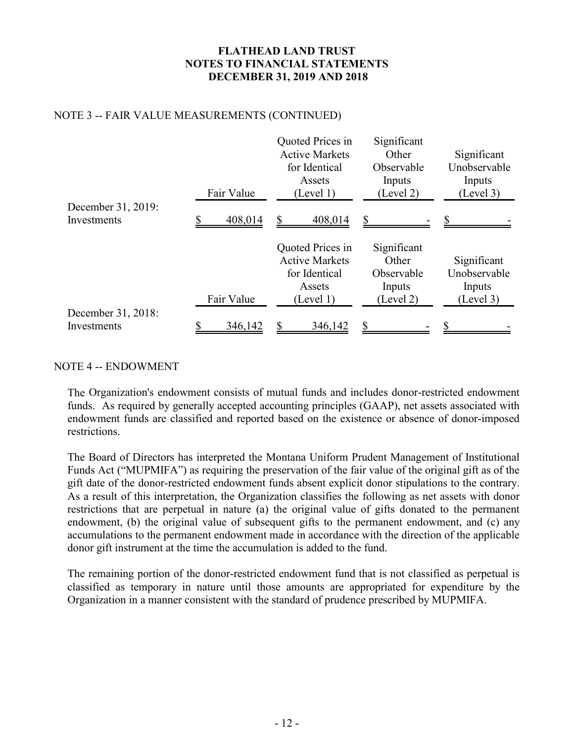#### NOTE 3 -- FAIR VALUE MEASUREMENTS (CONTINUED)

|                    |  |            |           | Quoted Prices in      |             | Significant |              |
|--------------------|--|------------|-----------|-----------------------|-------------|-------------|--------------|
|                    |  |            |           | <b>Active Markets</b> | Other       |             | Significant  |
|                    |  |            |           | for Identical         |             | Observable  | Unobservable |
|                    |  |            |           | Assets                | Inputs      |             | Inputs       |
|                    |  | Fair Value |           | (Level 1)             | (Level 2)   |             | (Level 3)    |
| December 31, 2019: |  |            |           |                       |             |             |              |
| Investments        |  | 408,014    | S.        | 408,014               |             |             |              |
|                    |  |            |           |                       |             |             |              |
|                    |  |            |           | Quoted Prices in      | Significant |             |              |
|                    |  |            |           | <b>Active Markets</b> | Other       |             | Significant  |
|                    |  |            |           | for Identical         | Observable  |             | Unobservable |
|                    |  |            |           | Assets                | Inputs      |             | Inputs       |
| Fair Value         |  |            | (Level 1) | (Level 2)             |             | (Level 3)   |              |
| December 31, 2018: |  |            |           |                       |             |             |              |
| Investments        |  | 346,142    |           | 346,142               | \$          |             |              |

#### NOTE 4 -- ENDOWMENT

The Organization's endowment consists of mutual funds and includes donor-restricted endowment funds. As required by generally accepted accounting principles (GAAP), net assets associated with endowment funds are classified and reported based on the existence or absence of donor-imposed restrictions.

The Board of Directors has interpreted the Montana Uniform Prudent Management of Institutional Funds Act ("MUPMIFA") as requiring the preservation of the fair value of the original gift as of the gift date of the donor-restricted endowment funds absent explicit donor stipulations to the contrary. As a result of this interpretation, the Organization classifies the following as net assets with donor restrictions that are perpetual in nature (a) the original value of gifts donated to the permanent endowment, (b) the original value of subsequent gifts to the permanent endowment, and (c) any accumulations to the permanent endowment made in accordance with the direction of the applicable donor gift instrument at the time the accumulation is added to the fund.

The remaining portion of the donor-restricted endowment fund that is not classified as perpetual is classified as temporary in nature until those amounts are appropriated for expenditure by the Organization in a manner consistent with the standard of prudence prescribed by MUPMIFA.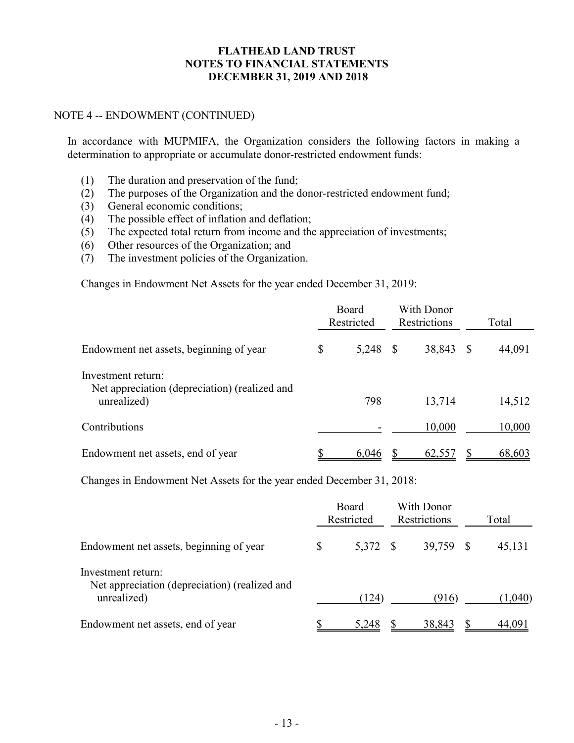#### NOTE 4 -- ENDOWMENT (CONTINUED)

In accordance with MUPMIFA, the Organization considers the following factors in making a determination to appropriate or accumulate donor-restricted endowment funds:

- (1) The duration and preservation of the fund;
- (2) The purposes of the Organization and the donor-restricted endowment fund;
- (3) General economic conditions;
- (4) The possible effect of inflation and deflation;
- (5) The expected total return from income and the appreciation of investments;
- (6) Other resources of the Organization; and
- (7) The investment policies of the Organization.

Changes in Endowment Net Assets for the year ended December 31, 2019:

|                                                                     | Board<br>Restricted |       |    | With Donor<br>Restrictions |    | Total  |  |
|---------------------------------------------------------------------|---------------------|-------|----|----------------------------|----|--------|--|
| Endowment net assets, beginning of year                             | \$                  | 5,248 | -S | 38,843                     | -S | 44,091 |  |
| Investment return:<br>Net appreciation (depreciation) (realized and |                     |       |    |                            |    |        |  |
| unrealized)                                                         |                     | 798   |    | 13,714                     |    | 14,512 |  |
| Contributions                                                       |                     |       |    | 10,000                     |    | 10,000 |  |
| Endowment net assets, end of year                                   |                     | 6,046 |    | 62,557                     |    | 68,603 |  |

Changes in Endowment Net Assets for the year ended December 31, 2018:

|                                                                     |    | Board<br>Restricted |     | With Donor<br>Restrictions |  | Total   |  |
|---------------------------------------------------------------------|----|---------------------|-----|----------------------------|--|---------|--|
| Endowment net assets, beginning of year                             | \$ | 5,372               | - S | 39,759                     |  | 45,131  |  |
| Investment return:<br>Net appreciation (depreciation) (realized and |    |                     |     |                            |  |         |  |
| unrealized)                                                         |    | (124)               |     | (916)                      |  | (1,040) |  |
| Endowment net assets, end of year                                   |    | 5,248               |     | 38,843                     |  | 44,091  |  |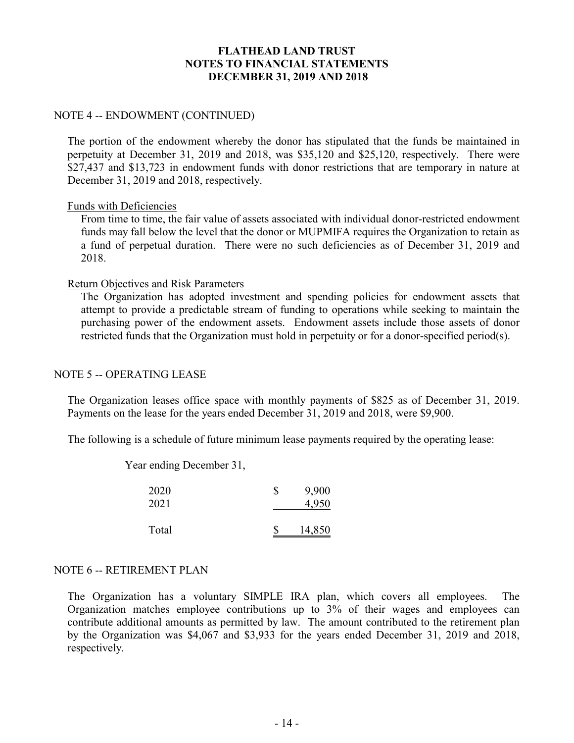#### NOTE 4 -- ENDOWMENT (CONTINUED)

The portion of the endowment whereby the donor has stipulated that the funds be maintained in perpetuity at December 31, 2019 and 2018, was \$35,120 and \$25,120, respectively. There were \$27,437 and \$13,723 in endowment funds with donor restrictions that are temporary in nature at December 31, 2019 and 2018, respectively.

#### Funds with Deficiencies

From time to time, the fair value of assets associated with individual donor-restricted endowment funds may fall below the level that the donor or MUPMIFA requires the Organization to retain as a fund of perpetual duration. There were no such deficiencies as of December 31, 2019 and 2018.

#### Return Objectives and Risk Parameters

The Organization has adopted investment and spending policies for endowment assets that attempt to provide a predictable stream of funding to operations while seeking to maintain the purchasing power of the endowment assets. Endowment assets include those assets of donor restricted funds that the Organization must hold in perpetuity or for a donor-specified period(s).

#### NOTE 5 -- OPERATING LEASE

The Organization leases office space with monthly payments of \$825 as of December 31, 2019. Payments on the lease for the years ended December 31, 2019 and 2018, were \$9,900.

The following is a schedule of future minimum lease payments required by the operating lease:

Year ending December 31,

| 2020<br>2021 | S | 9,900<br>4,950 |
|--------------|---|----------------|
| Total        |   | 14,850         |

#### NOTE 6 -- RETIREMENT PLAN

The Organization has a voluntary SIMPLE IRA plan, which covers all employees. The Organization matches employee contributions up to 3% of their wages and employees can contribute additional amounts as permitted by law. The amount contributed to the retirement plan by the Organization was \$4,067 and \$3,933 for the years ended December 31, 2019 and 2018, respectively.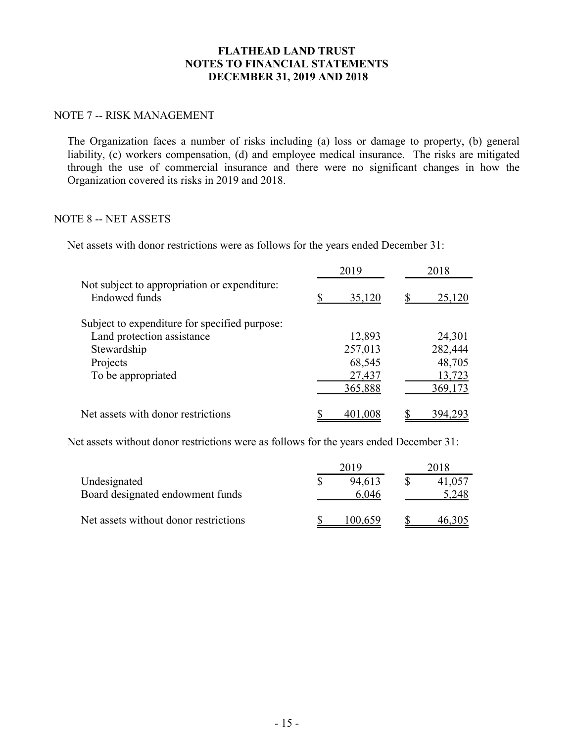#### NOTE 7 -- RISK MANAGEMENT

The Organization faces a number of risks including (a) loss or damage to property, (b) general liability, (c) workers compensation, (d) and employee medical insurance. The risks are mitigated through the use of commercial insurance and there were no significant changes in how the Organization covered its risks in 2019 and 2018.

#### NOTE 8 -- NET ASSETS

Net assets with donor restrictions were as follows for the years ended December 31:

|                                                                      | 2019    | 2018    |  |
|----------------------------------------------------------------------|---------|---------|--|
| Not subject to appropriation or expenditure:<br><b>Endowed funds</b> | 35,120  | 25,120  |  |
| Subject to expenditure for specified purpose:                        |         |         |  |
| Land protection assistance                                           | 12,893  | 24,301  |  |
| Stewardship                                                          | 257,013 | 282,444 |  |
| Projects                                                             | 68,545  | 48,705  |  |
| To be appropriated                                                   | 27,437  | 13,723  |  |
|                                                                      | 365,888 | 369,173 |  |
| Net assets with donor restrictions                                   | 401,008 | 394,293 |  |

Net assets without donor restrictions were as follows for the years ended December 31:

|                                       | 2019 |         | 2018 |        |
|---------------------------------------|------|---------|------|--------|
| Undesignated                          |      | 94.613  |      | 41,057 |
| Board designated endowment funds      |      | 6.046   |      | 5,248  |
| Net assets without donor restrictions |      | 100,659 |      |        |